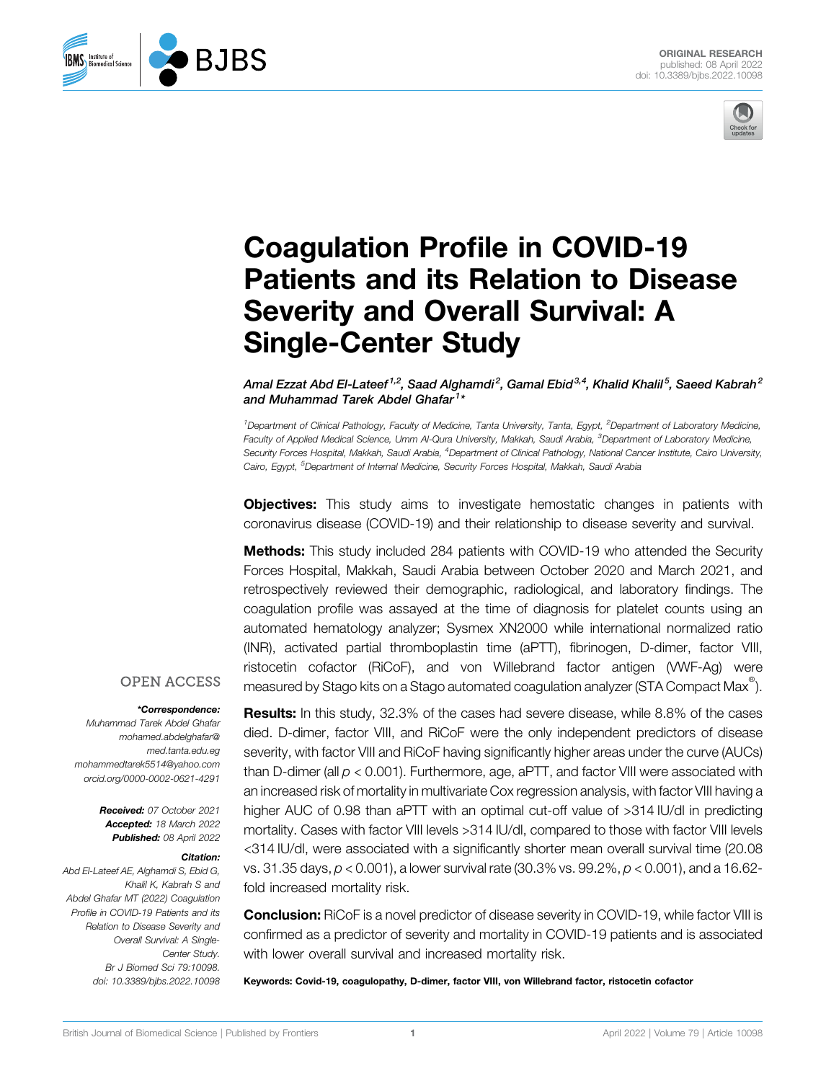



# Coagulation Profile in COVID-19 Patients and its Relation to Disease Severity and Overall Survival: A Single-Center Study

Amal Ezzat Abd El-Lateef  $^{1,2}$ , Saad Alghamdi $^2$ , Gamal Ebid $^{3,4}$ , Khalid Khalil $^5$ , Saeed Kabrah $^2$ and Muhammad Tarek Abdel Ghafar<sup>1</sup>\*

<sup>1</sup>Department of Clinical Pathology, Faculty of Medicine, Tanta University, Tanta, Egypt, <sup>2</sup>Department of Laboratory Medicine, Faculty of Applied Medical Science, Umm Al-Qura University, Makkah, Saudi Arabia, <sup>3</sup>Department of Laboratory Medicine, Security Forces Hospital, Makkah, Saudi Arabia, <sup>4</sup>Department of Clinical Pathology, National Cancer Institute, Cairo University, Cairo, Egypt, <sup>5</sup>Department of Internal Medicine, Security Forces Hospital, Makkah, Saudi Arabia

**Objectives:** This study aims to investigate hemostatic changes in patients with coronavirus disease (COVID-19) and their relationship to disease severity and survival.

**Methods:** This study included 284 patients with COVID-19 who attended the Security Forces Hospital, Makkah, Saudi Arabia between October 2020 and March 2021, and retrospectively reviewed their demographic, radiological, and laboratory findings. The coagulation profile was assayed at the time of diagnosis for platelet counts using an automated hematology analyzer; Sysmex XN2000 while international normalized ratio (INR), activated partial thromboplastin time (aPTT), fibrinogen, D-dimer, factor VIII, ristocetin cofactor (RiCoF), and von Willebrand factor antigen (VWF-Ag) were measured by Stago kits on a Stago automated coagulation analyzer (STA Compact Max $^\circ$ ).

#### **OPEN ACCESS**

#### \*Correspondence:

Muhammad Tarek Abdel Ghafar [mohamed.abdelghafar@](mailto:mohamed.abdelghafar@med.tanta.edu.eg) [med.tanta.edu.eg](mailto:mohamed.abdelghafar@med.tanta.edu.eg) [mohammedtarek5514@yahoo.com](mailto:mohammedtarek5514@yahoo.com) [orcid.org/0000-0002-0621-4291](mailto:orcid.org/0000-0002-0621-4291)

> Received: 07 October 2021 Accepted: 18 March 2022 Published: 08 April 2022

#### Citation:

**RJBS** 

**BMS** Institute of<br>**BMS** Biomedical Science

Abd El-Lateef AE, Alghamdi S, Ebid G, Khalil K, Kabrah S and Abdel Ghafar MT (2022) Coagulation Profile in COVID-19 Patients and its Relation to Disease Severity and Overall Survival: A Single-Center Study. Br J Biomed Sci 79:10098. doi: [10.3389/bjbs.2022.10098](https://doi.org/10.3389/bjbs.2022.10098)

Results: In this study, 32.3% of the cases had severe disease, while 8.8% of the cases died. D-dimer, factor VIII, and RiCoF were the only independent predictors of disease severity, with factor VIII and RiCoF having significantly higher areas under the curve (AUCs) than D-dimer (all  $p < 0.001$ ). Furthermore, age, aPTT, and factor VIII were associated with an increased risk of mortality in multivariate Cox regression analysis, with factor VIII having a higher AUC of 0.98 than aPTT with an optimal cut-off value of >314 IU/dl in predicting mortality. Cases with factor VIII levels >314 IU/dl, compared to those with factor VIII levels <314 IU/dl, were associated with a significantly shorter mean overall survival time (20.08 vs. 31.35 days, p < 0.001), a lower survival rate (30.3% vs. 99.2%, p < 0.001), and a 16.62 fold increased mortality risk.

**Conclusion:** RiCoF is a novel predictor of disease severity in COVID-19, while factor VIII is confirmed as a predictor of severity and mortality in COVID-19 patients and is associated with lower overall survival and increased mortality risk.

Keywords: Covid-19, coagulopathy, D-dimer, factor VIII, von Willebrand factor, ristocetin cofactor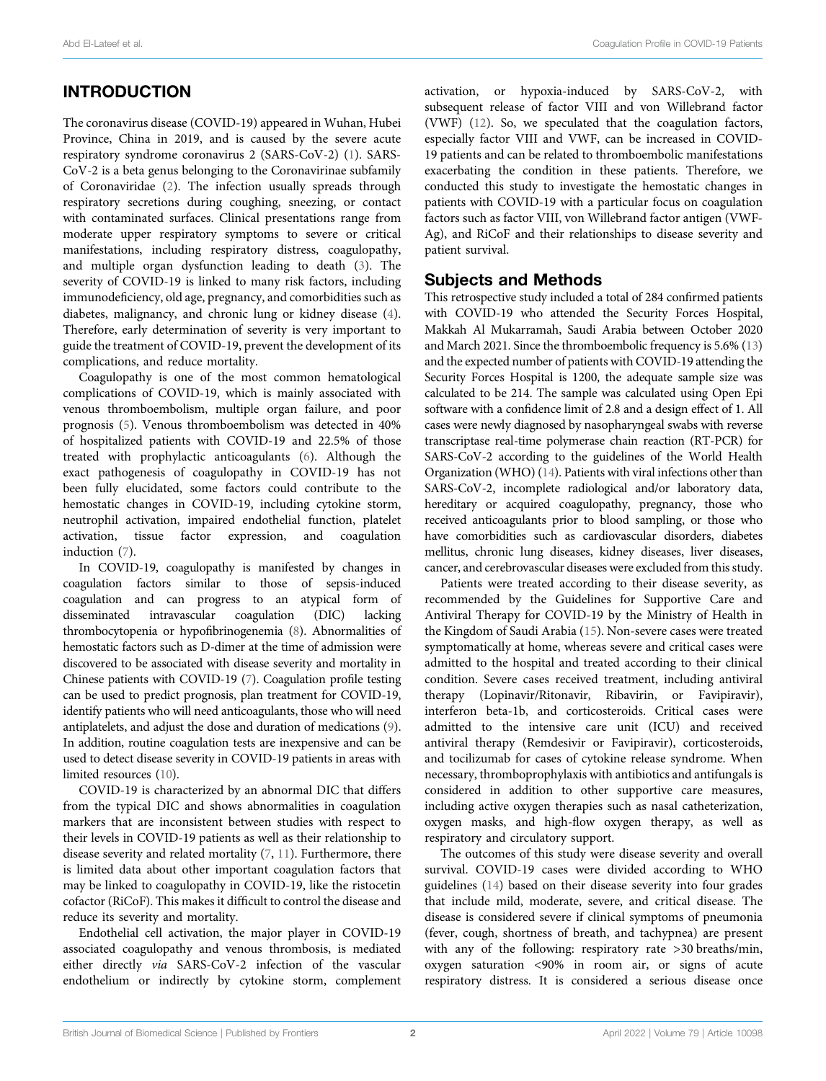#### INTRODUCTION

The coronavirus disease (COVID-19) appeared in Wuhan, Hubei Province, China in 2019, and is caused by the severe acute respiratory syndrome coronavirus 2 (SARS-CoV-2) [\(1\)](#page-7-0). SARS-CoV-2 is a beta genus belonging to the Coronavirinae subfamily of Coronaviridae [\(2\)](#page-7-1). The infection usually spreads through respiratory secretions during coughing, sneezing, or contact with contaminated surfaces. Clinical presentations range from moderate upper respiratory symptoms to severe or critical manifestations, including respiratory distress, coagulopathy, and multiple organ dysfunction leading to death [\(3\)](#page-7-2). The severity of COVID-19 is linked to many risk factors, including immunodeficiency, old age, pregnancy, and comorbidities such as diabetes, malignancy, and chronic lung or kidney disease [\(4\)](#page-7-3). Therefore, early determination of severity is very important to guide the treatment of COVID-19, prevent the development of its complications, and reduce mortality.

Coagulopathy is one of the most common hematological complications of COVID-19, which is mainly associated with venous thromboembolism, multiple organ failure, and poor prognosis ([5](#page-7-4)). Venous thromboembolism was detected in 40% of hospitalized patients with COVID-19 and 22.5% of those treated with prophylactic anticoagulants ([6](#page-7-5)). Although the exact pathogenesis of coagulopathy in COVID-19 has not been fully elucidated, some factors could contribute to the hemostatic changes in COVID-19, including cytokine storm, neutrophil activation, impaired endothelial function, platelet activation, tissue factor expression, and coagulation induction [\(7\)](#page-7-6).

In COVID-19, coagulopathy is manifested by changes in coagulation factors similar to those of sepsis-induced coagulation and can progress to an atypical form of disseminated intravascular coagulation (DIC) lacking thrombocytopenia or hypofibrinogenemia [\(8\)](#page-7-7). Abnormalities of hemostatic factors such as D-dimer at the time of admission were discovered to be associated with disease severity and mortality in Chinese patients with COVID-19 [\(7\)](#page-7-6). Coagulation profile testing can be used to predict prognosis, plan treatment for COVID-19, identify patients who will need anticoagulants, those who will need antiplatelets, and adjust the dose and duration of medications [\(9\)](#page-7-8). In addition, routine coagulation tests are inexpensive and can be used to detect disease severity in COVID-19 patients in areas with limited resources [\(10](#page-7-9)).

COVID-19 is characterized by an abnormal DIC that differs from the typical DIC and shows abnormalities in coagulation markers that are inconsistent between studies with respect to their levels in COVID-19 patients as well as their relationship to disease severity and related mortality ([7](#page-7-6), [11](#page-7-10)). Furthermore, there is limited data about other important coagulation factors that may be linked to coagulopathy in COVID-19, like the ristocetin cofactor (RiCoF). This makes it difficult to control the disease and reduce its severity and mortality.

Endothelial cell activation, the major player in COVID-19 associated coagulopathy and venous thrombosis, is mediated either directly via SARS-CoV-2 infection of the vascular endothelium or indirectly by cytokine storm, complement activation, or hypoxia-induced by SARS-CoV-2, with subsequent release of factor VIII and von Willebrand factor (VWF) ([12\)](#page-7-11). So, we speculated that the coagulation factors, especially factor VIII and VWF, can be increased in COVID-19 patients and can be related to thromboembolic manifestations exacerbating the condition in these patients. Therefore, we conducted this study to investigate the hemostatic changes in patients with COVID-19 with a particular focus on coagulation factors such as factor VIII, von Willebrand factor antigen (VWF-Ag), and RiCoF and their relationships to disease severity and patient survival.

#### Subjects and Methods

This retrospective study included a total of 284 confirmed patients with COVID-19 who attended the Security Forces Hospital, Makkah Al Mukarramah, Saudi Arabia between October 2020 and March 2021. Since the thromboembolic frequency is 5.6% ([13\)](#page-7-12) and the expected number of patients with COVID-19 attending the Security Forces Hospital is 1200, the adequate sample size was calculated to be 214. The sample was calculated using Open Epi software with a confidence limit of 2.8 and a design effect of 1. All cases were newly diagnosed by nasopharyngeal swabs with reverse transcriptase real-time polymerase chain reaction (RT-PCR) for SARS-CoV-2 according to the guidelines of the World Health Organization (WHO) ([14\)](#page-7-13). Patients with viral infections other than SARS-CoV-2, incomplete radiological and/or laboratory data, hereditary or acquired coagulopathy, pregnancy, those who received anticoagulants prior to blood sampling, or those who have comorbidities such as cardiovascular disorders, diabetes mellitus, chronic lung diseases, kidney diseases, liver diseases, cancer, and cerebrovascular diseases were excluded from this study.

Patients were treated according to their disease severity, as recommended by the Guidelines for Supportive Care and Antiviral Therapy for COVID-19 by the Ministry of Health in the Kingdom of Saudi Arabia [\(15](#page-7-14)). Non-severe cases were treated symptomatically at home, whereas severe and critical cases were admitted to the hospital and treated according to their clinical condition. Severe cases received treatment, including antiviral therapy (Lopinavir/Ritonavir, Ribavirin, or Favipiravir), interferon beta-1b, and corticosteroids. Critical cases were admitted to the intensive care unit (ICU) and received antiviral therapy (Remdesivir or Favipiravir), corticosteroids, and tocilizumab for cases of cytokine release syndrome. When necessary, thromboprophylaxis with antibiotics and antifungals is considered in addition to other supportive care measures, including active oxygen therapies such as nasal catheterization, oxygen masks, and high-flow oxygen therapy, as well as respiratory and circulatory support.

The outcomes of this study were disease severity and overall survival. COVID-19 cases were divided according to WHO guidelines ([14\)](#page-7-13) based on their disease severity into four grades that include mild, moderate, severe, and critical disease. The disease is considered severe if clinical symptoms of pneumonia (fever, cough, shortness of breath, and tachypnea) are present with any of the following: respiratory rate >30 breaths/min, oxygen saturation <90% in room air, or signs of acute respiratory distress. It is considered a serious disease once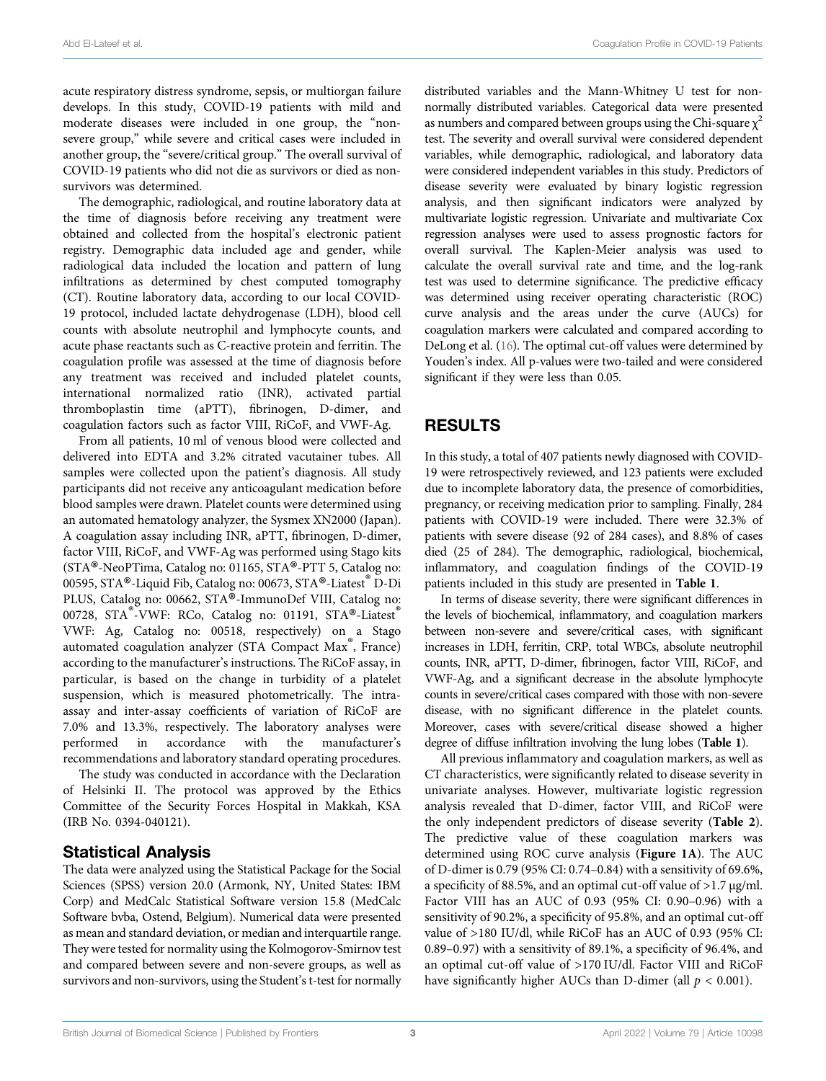acute respiratory distress syndrome, sepsis, or multiorgan failure develops. In this study, COVID-19 patients with mild and moderate diseases were included in one group, the "nonsevere group," while severe and critical cases were included in another group, the "severe/critical group." The overall survival of COVID-19 patients who did not die as survivors or died as nonsurvivors was determined.

The demographic, radiological, and routine laboratory data at the time of diagnosis before receiving any treatment were obtained and collected from the hospital's electronic patient registry. Demographic data included age and gender, while radiological data included the location and pattern of lung infiltrations as determined by chest computed tomography (CT). Routine laboratory data, according to our local COVID-19 protocol, included lactate dehydrogenase (LDH), blood cell counts with absolute neutrophil and lymphocyte counts, and acute phase reactants such as C-reactive protein and ferritin. The coagulation profile was assessed at the time of diagnosis before any treatment was received and included platelet counts, international normalized ratio (INR), activated partial thromboplastin time (aPTT), fibrinogen, D-dimer, and coagulation factors such as factor VIII, RiCoF, and VWF-Ag.

From all patients, 10 ml of venous blood were collected and delivered into EDTA and 3.2% citrated vacutainer tubes. All samples were collected upon the patient's diagnosis. All study participants did not receive any anticoagulant medication before blood samples were drawn. Platelet counts were determined using an automated hematology analyzer, the Sysmex XN2000 (Japan). A coagulation assay including INR, aPTT, fibrinogen, D-dimer, factor VIII, RiCoF, and VWF-Ag was performed using Stago kits (STA®-NeoPTima, Catalog no: 01165, STA®-PTT 5, Catalog no: 00595, STA®-Liquid Fib, Catalog no: 00673, STA®-Liatest D-Di PLUS, Catalog no: 00662, STA®-ImmunoDef VIII, Catalog no: 00728, STA<sup>®</sup>-VWF: RCo, Catalog no: 01191, STA<sup>®</sup>-Liatest VWF: Ag, Catalog no: 00518, respectively) on a Stago automated coagulation analyzer (STA Compact Max<sup>®</sup>, France) according to the manufacturer's instructions. The RiCoF assay, in particular, is based on the change in turbidity of a platelet suspension, which is measured photometrically. The intraassay and inter-assay coefficients of variation of RiCoF are 7.0% and 13.3%, respectively. The laboratory analyses were performed in accordance with the manufacturer's recommendations and laboratory standard operating procedures.

The study was conducted in accordance with the Declaration of Helsinki II. The protocol was approved by the Ethics Committee of the Security Forces Hospital in Makkah, KSA (IRB No. 0394-040121).

#### Statistical Analysis

The data were analyzed using the Statistical Package for the Social Sciences (SPSS) version 20.0 (Armonk, NY, United States: IBM Corp) and MedCalc Statistical Software version 15.8 (MedCalc Software bvba, Ostend, Belgium). Numerical data were presented as mean and standard deviation, or median and interquartile range. They were tested for normality using the Kolmogorov-Smirnov test and compared between severe and non-severe groups, as well as survivors and non-survivors, using the Student's t-test for normally

distributed variables and the Mann-Whitney U test for nonnormally distributed variables. Categorical data were presented as numbers and compared between groups using the Chi-square  $\chi^2$ test. The severity and overall survival were considered dependent variables, while demographic, radiological, and laboratory data were considered independent variables in this study. Predictors of disease severity were evaluated by binary logistic regression analysis, and then significant indicators were analyzed by multivariate logistic regression. Univariate and multivariate Cox regression analyses were used to assess prognostic factors for overall survival. The Kaplen-Meier analysis was used to calculate the overall survival rate and time, and the log-rank test was used to determine significance. The predictive efficacy was determined using receiver operating characteristic (ROC) curve analysis and the areas under the curve (AUCs) for coagulation markers were calculated and compared according to DeLong et al. ([16\)](#page-7-15). The optimal cut-off values were determined by Youden's index. All p-values were two-tailed and were considered significant if they were less than 0.05.

## RESULTS

In this study, a total of 407 patients newly diagnosed with COVID-19 were retrospectively reviewed, and 123 patients were excluded due to incomplete laboratory data, the presence of comorbidities, pregnancy, or receiving medication prior to sampling. Finally, 284 patients with COVID-19 were included. There were 32.3% of patients with severe disease (92 of 284 cases), and 8.8% of cases died (25 of 284). The demographic, radiological, biochemical, inflammatory, and coagulation findings of the COVID-19 patients included in this study are presented in [Table 1](#page-3-0).

In terms of disease severity, there were significant differences in the levels of biochemical, inflammatory, and coagulation markers between non-severe and severe/critical cases, with significant increases in LDH, ferritin, CRP, total WBCs, absolute neutrophil counts, INR, aPTT, D-dimer, fibrinogen, factor VIII, RiCoF, and VWF-Ag, and a significant decrease in the absolute lymphocyte counts in severe/critical cases compared with those with non-severe disease, with no significant difference in the platelet counts. Moreover, cases with severe/critical disease showed a higher degree of diffuse infiltration involving the lung lobes ([Table 1](#page-3-0)).

All previous inflammatory and coagulation markers, as well as CT characteristics, were significantly related to disease severity in univariate analyses. However, multivariate logistic regression analysis revealed that D-dimer, factor VIII, and RiCoF were the only independent predictors of disease severity ([Table 2](#page-4-0)). The predictive value of these coagulation markers was determined using ROC curve analysis ([Figure 1A](#page-4-1)). The AUC of D-dimer is 0.79 (95% CI: 0.74–0.84) with a sensitivity of 69.6%, a specificity of 88.5%, and an optimal cut-off value of >1.7 μg/ml. Factor VIII has an AUC of 0.93 (95% CI: 0.90–0.96) with a sensitivity of 90.2%, a specificity of 95.8%, and an optimal cut-off value of >180 IU/dl, while RiCoF has an AUC of 0.93 (95% CI: 0.89–0.97) with a sensitivity of 89.1%, a specificity of 96.4%, and an optimal cut-off value of >170 IU/dl. Factor VIII and RiCoF have significantly higher AUCs than D-dimer (all  $p < 0.001$ ).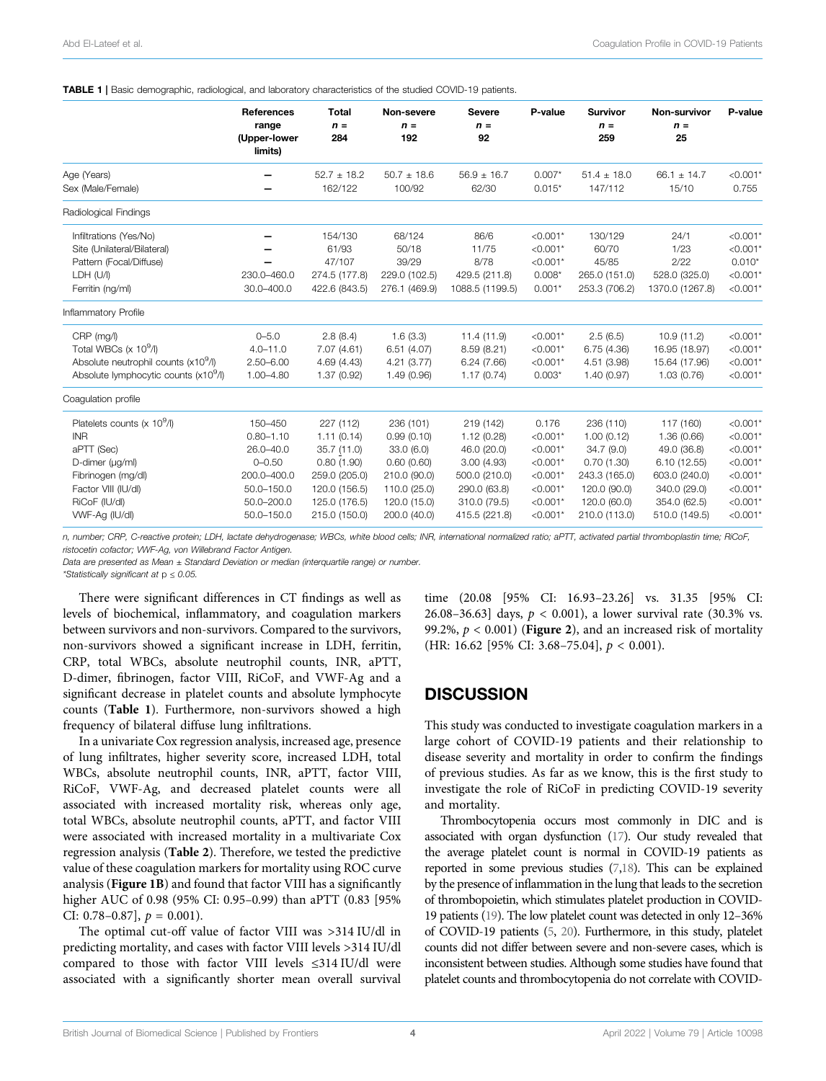#### <span id="page-3-0"></span>TABLE 1 | Basic demographic, radiological, and laboratory characteristics of the studied COVID-19 patients.

|                                                                                                                                                                        | <b>References</b><br>range<br>(Upper-lower<br>limits)                                                            | <b>Total</b><br>$n =$<br>284                                                                                             | Non-severe<br>$n =$<br>192                                                                                         | <b>Severe</b><br>$n =$<br>92                                                                                           | P-value                                                                                                 | <b>Survivor</b><br>$n =$<br>259                                                                                      | Non-survivor<br>$n =$<br>25                                                                                             | P-value                                                                                                      |
|------------------------------------------------------------------------------------------------------------------------------------------------------------------------|------------------------------------------------------------------------------------------------------------------|--------------------------------------------------------------------------------------------------------------------------|--------------------------------------------------------------------------------------------------------------------|------------------------------------------------------------------------------------------------------------------------|---------------------------------------------------------------------------------------------------------|----------------------------------------------------------------------------------------------------------------------|-------------------------------------------------------------------------------------------------------------------------|--------------------------------------------------------------------------------------------------------------|
| Age (Years)<br>Sex (Male/Female)                                                                                                                                       |                                                                                                                  | $52.7 \pm 18.2$<br>162/122                                                                                               | $50.7 \pm 18.6$<br>100/92                                                                                          | $56.9 \pm 16.7$<br>62/30                                                                                               | $0.007*$<br>$0.015*$                                                                                    | $51.4 \pm 18.0$<br>147/112                                                                                           | $66.1 \pm 14.7$<br>15/10                                                                                                | $< 0.001*$<br>0.755                                                                                          |
| Radiological Findings                                                                                                                                                  |                                                                                                                  |                                                                                                                          |                                                                                                                    |                                                                                                                        |                                                                                                         |                                                                                                                      |                                                                                                                         |                                                                                                              |
| Infiltrations (Yes/No)<br>Site (Unilateral/Bilateral)<br>Pattern (Focal/Diffuse)<br>LDH (U/I)<br>Ferritin (ng/ml)                                                      | 230.0-460.0<br>30.0-400.0                                                                                        | 154/130<br>61/93<br>47/107<br>274.5 (177.8)<br>422.6 (843.5)                                                             | 68/124<br>50/18<br>39/29<br>229.0 (102.5)<br>276.1 (469.9)                                                         | 86/6<br>11/75<br>8/78<br>429.5 (211.8)<br>1088.5 (1199.5)                                                              | $< 0.001*$<br>$< 0.001*$<br>$< 0.001*$<br>$0.008*$<br>$0.001*$                                          | 130/129<br>60/70<br>45/85<br>265.0 (151.0)<br>253.3 (706.2)                                                          | 24/1<br>1/23<br>2/22<br>528.0 (325.0)<br>1370.0 (1267.8)                                                                | $< 0.001*$<br>$< 0.001*$<br>$0.010*$<br>$< 0.001*$<br>$< 0.001*$                                             |
| Inflammatory Profile                                                                                                                                                   |                                                                                                                  |                                                                                                                          |                                                                                                                    |                                                                                                                        |                                                                                                         |                                                                                                                      |                                                                                                                         |                                                                                                              |
| CRP (mg/l)<br>Total WBCs $(x 10^9/1)$<br>Absolute neutrophil counts (x10 <sup>9</sup> /l)<br>Absolute lymphocytic counts (x10 <sup>9</sup> /l)                         | $0 - 5.0$<br>$4.0 - 11.0$<br>$2.50 - 6.00$<br>$1.00 - 4.80$                                                      | 2.8(8.4)<br>7.07(4.61)<br>4.69 (4.43)<br>1.37(0.92)                                                                      | 1.6(3.3)<br>6.51(4.07)<br>4.21(3.77)<br>1.49 (0.96)                                                                | 11.4 (11.9)<br>8.59 (8.21)<br>6.24(7.66)<br>1.17(0.74)                                                                 | $< 0.001*$<br>$< 0.001*$<br>$< 0.001*$<br>$0.003*$                                                      | 2.5(6.5)<br>6.75(4.36)<br>4.51 (3.98)<br>1.40(0.97)                                                                  | 10.9 (11.2)<br>16.95 (18.97)<br>15.64 (17.96)<br>1.03(0.76)                                                             | $< 0.001*$<br>$< 0.001*$<br>$< 0.001*$<br>$< 0.001*$                                                         |
| Coaqulation profile                                                                                                                                                    |                                                                                                                  |                                                                                                                          |                                                                                                                    |                                                                                                                        |                                                                                                         |                                                                                                                      |                                                                                                                         |                                                                                                              |
| Platelets counts (x 10 <sup>9</sup> /l)<br><b>INR</b><br>aPTT (Sec)<br>D-dimer (µg/ml)<br>Fibrinogen (mg/dl)<br>Factor VIII (IU/dl)<br>RiCoF (IU/dl)<br>WVF-Ag (IU/dl) | 150-450<br>$0.80 - 1.10$<br>$26.0 - 40.0$<br>$0 - 0.50$<br>200.0-400.0<br>50.0-150.0<br>50.0-200.0<br>50.0-150.0 | 227 (112)<br>1.11(0.14)<br>35.7 (11.0)<br>0.80(1.90)<br>259.0 (205.0)<br>120.0 (156.5)<br>125.0 (176.5)<br>215.0 (150.0) | 236 (101)<br>0.99(0.10)<br>33.0(6.0)<br>0.60(0.60)<br>210.0 (90.0)<br>110.0 (25.0)<br>120.0 (15.0)<br>200.0 (40.0) | 219 (142)<br>1.12(0.28)<br>46.0 (20.0)<br>3.00(4.93)<br>500.0 (210.0)<br>290.0 (63.8)<br>310.0 (79.5)<br>415.5 (221.8) | 0.176<br>$< 0.001*$<br>$< 0.001*$<br>$< 0.001*$<br>$< 0.001*$<br>$< 0.001*$<br>$< 0.001*$<br>$< 0.001*$ | 236 (110)<br>1.00(0.12)<br>34.7(9.0)<br>0.70(1.30)<br>243.3 (165.0)<br>120.0 (90.0)<br>120.0 (60.0)<br>210.0 (113.0) | 117 (160)<br>1.36(0.66)<br>49.0 (36.8)<br>6.10(12.55)<br>603.0 (240.0)<br>340.0 (29.0)<br>354.0 (62.5)<br>510.0 (149.5) | $< 0.001*$<br>$< 0.001*$<br>$< 0.001*$<br>$< 0.001*$<br>$< 0.001*$<br>$< 0.001*$<br>$< 0.001*$<br>$< 0.001*$ |

n, number; CRP, C-reactive protein; LDH, lactate dehydrogenase; WBCs, white blood cells; INR, international normalized ratio; aPTT, activated partial thromboplastin time; RiCoF, ristocetin cofactor; VWF-Ag, von Willebrand Factor Antigen.

Data are presented as Mean ± Standard Deviation or median (interquartile range) or number.

\*Statistically significant at  $p \leq 0.05$ .

There were significant differences in CT findings as well as levels of biochemical, inflammatory, and coagulation markers between survivors and non-survivors. Compared to the survivors, non-survivors showed a significant increase in LDH, ferritin, CRP, total WBCs, absolute neutrophil counts, INR, aPTT, D-dimer, fibrinogen, factor VIII, RiCoF, and VWF-Ag and a significant decrease in platelet counts and absolute lymphocyte counts ([Table 1](#page-3-0)). Furthermore, non-survivors showed a high frequency of bilateral diffuse lung infiltrations.

In a univariate Cox regression analysis, increased age, presence of lung infiltrates, higher severity score, increased LDH, total WBCs, absolute neutrophil counts, INR, aPTT, factor VIII, RiCoF, VWF-Ag, and decreased platelet counts were all associated with increased mortality risk, whereas only age, total WBCs, absolute neutrophil counts, aPTT, and factor VIII were associated with increased mortality in a multivariate Cox regression analysis ([Table 2](#page-4-0)). Therefore, we tested the predictive value of these coagulation markers for mortality using ROC curve analysis ([Figure 1B](#page-4-1)) and found that factor VIII has a significantly higher AUC of 0.98 (95% CI: 0.95–0.99) than aPTT (0.83 [95% CI: 0.78–0.87],  $p = 0.001$ ).

The optimal cut-off value of factor VIII was >314 IU/dl in predicting mortality, and cases with factor VIII levels >314 IU/dl compared to those with factor VIII levels ≤314 IU/dl were associated with a significantly shorter mean overall survival time (20.08 [95% CI: 16.93–23.26] vs. 31.35 [95% CI: 26.08–36.63] days,  $p < 0.001$ ), a lower survival rate (30.3% vs. 99.2%,  $p < 0.001$ ) (**[Figure 2](#page-5-0)**), and an increased risk of mortality (HR: 16.62 [95% CI: 3.68–75.04],  $p < 0.001$ ).

#### **DISCUSSION**

This study was conducted to investigate coagulation markers in a large cohort of COVID-19 patients and their relationship to disease severity and mortality in order to confirm the findings of previous studies. As far as we know, this is the first study to investigate the role of RiCoF in predicting COVID-19 severity and mortality.

Thrombocytopenia occurs most commonly in DIC and is associated with organ dysfunction [\(17\)](#page-7-16). Our study revealed that the average platelet count is normal in COVID-19 patients as reported in some previous studies [\(7](#page-7-6)[,18\)](#page-7-17). This can be explained by the presence of inflammation in the lung that leads to the secretion of thrombopoietin, which stimulates platelet production in COVID-19 patients [\(19](#page-7-18)). The low platelet count was detected in only 12–36% of COVID-19 patients [\(5](#page-7-4), [20](#page-7-19)). Furthermore, in this study, platelet counts did not differ between severe and non-severe cases, which is inconsistent between studies. Although some studies have found that platelet counts and thrombocytopenia do not correlate with COVID-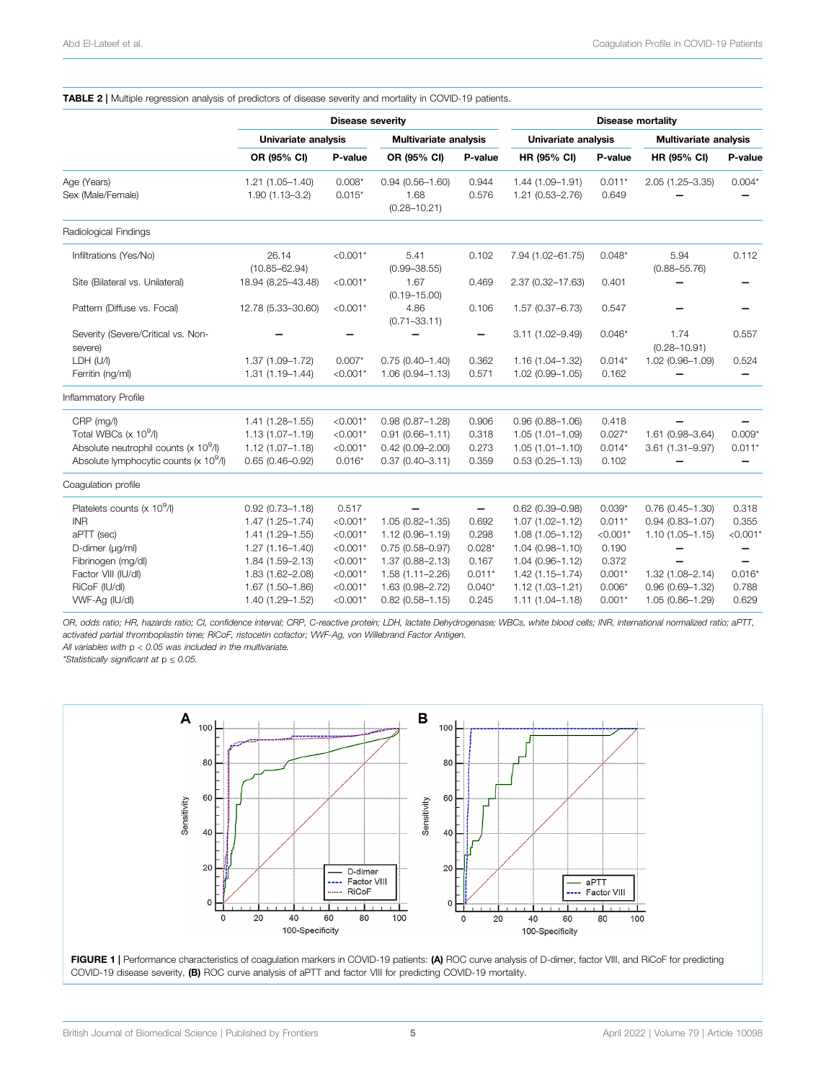<span id="page-4-0"></span>

|                                                           |                            | <b>Disease severity</b> | <b>Disease mortality</b>     |          |                     |            |                              |            |
|-----------------------------------------------------------|----------------------------|-------------------------|------------------------------|----------|---------------------|------------|------------------------------|------------|
|                                                           | Univariate analysis        |                         | <b>Multivariate analysis</b> |          | Univariate analysis |            | <b>Multivariate analysis</b> |            |
|                                                           | OR (95% CI)                | P-value                 | OR (95% CI)                  | P-value  | HR (95% CI)         | P-value    | HR (95% CI)                  | P-value    |
| Age (Years)                                               | $1.21(1.05 - 1.40)$        | $0.008*$                | $0.94(0.56 - 1.60)$          | 0.944    | $1.44(1.09 - 1.91)$ | $0.011*$   | 2.05 (1.25-3.35)             | $0.004*$   |
| Sex (Male/Female)                                         | $1.90(1.13 - 3.2)$         | $0.015*$                | 1.68<br>$(0.28 - 10.21)$     | 0.576    | 1.21 (0.53-2.76)    | 0.649      |                              |            |
| Radiological Findings                                     |                            |                         |                              |          |                     |            |                              |            |
| Infiltrations (Yes/No)                                    | 26.14<br>$(10.85 - 62.94)$ | $< 0.001*$              | 5.41<br>$(0.99 - 38.55)$     | 0.102    | 7.94 (1.02-61.75)   | $0.048*$   | 5.94<br>$(0.88 - 55.76)$     | 0.112      |
| Site (Bilateral vs. Unilateral)                           | 18.94 (8.25-43.48)         | $< 0.001*$              | 1.67<br>$(0.19 - 15.00)$     | 0.469    | 2.37 (0.32-17.63)   | 0.401      |                              |            |
| Pattern (Diffuse vs. Focal)                               | 12.78 (5.33-30.60)         | $< 0.001*$              | 4.86<br>$(0.71 - 33.11)$     | 0.106    | 1.57 (0.37-6.73)    | 0.547      |                              |            |
| Severity (Severe/Critical vs. Non-<br>severe)             |                            |                         |                              |          | 3.11 (1.02-9.49)    | $0.046*$   | 1.74<br>$(0.28 - 10.91)$     | 0.557      |
| LDH (U/I)                                                 | 1.37 (1.09-1.72)           | $0.007*$                | $0.75(0.40 - 1.40)$          | 0.362    | $1.16(1.04 - 1.32)$ | $0.014*$   | 1.02 (0.96-1.09)             | 0.524      |
| Ferritin (ng/ml)                                          | $1.31(1.19 - 1.44)$        | $< 0.001*$              | $1.06(0.94 - 1.13)$          | 0.571    | $1.02(0.99 - 1.05)$ | 0.162      |                              |            |
| Inflammatory Profile                                      |                            |                         |                              |          |                     |            |                              |            |
| CRP (mg/l)                                                | $1.41(1.28 - 1.55)$        | $< 0.001*$              | $0.98(0.87 - 1.28)$          | 0.906    | $0.96(0.88 - 1.06)$ | 0.418      |                              |            |
| Total WBCs $(x 10^9/1)$                                   | $1.13(1.07 - 1.19)$        | $< 0.001*$              | $0.91(0.66 - 1.11)$          | 0.318    | $1.05(1.01 - 1.09)$ | $0.027*$   | 1.61 (0.98-3.64)             | $0.009*$   |
| Absolute neutrophil counts ( $\times$ 10 <sup>9</sup> /l) | $1.12(1.07 - 1.18)$        | $< 0.001*$              | $0.42(0.09 - 2.00)$          | 0.273    | $1.05(1.01 - 1.10)$ | $0.014*$   | 3.61 (1.31-9.97)             | $0.011*$   |
| Absolute lymphocytic counts (x 10 <sup>9</sup> /l)        | $0.65(0.46 - 0.92)$        | $0.016*$                | $0.37(0.40 - 3.11)$          | 0.359    | $0.53(0.25 - 1.13)$ | 0.102      |                              |            |
| Coagulation profile                                       |                            |                         |                              |          |                     |            |                              |            |
| Platelets counts (x 10 <sup>9</sup> /l)                   | $0.92(0.73 - 1.18)$        | 0.517                   |                              | —        | $0.62$ (0.39-0.98)  | $0.039*$   | $0.76(0.45 - 1.30)$          | 0.318      |
| <b>INR</b>                                                | $1.47(1.25 - 1.74)$        | $< 0.001*$              | 1.05 (0.82-1.35)             | 0.692    | $1.07(1.02 - 1.12)$ | $0.011*$   | $0.94(0.83 - 1.07)$          | 0.355      |
| aPTT (sec)                                                | 1.41 (1.29-1.55)           | $< 0.001*$              | 1.12 (0.96-1.19)             | 0.298    | $1.08(1.05 - 1.12)$ | $< 0.001*$ | $1.10(1.05 - 1.15)$          | $< 0.001*$ |
| D-dimer (µg/ml)                                           | $1.27(1.16 - 1.40)$        | $< 0.001*$              | $0.75(0.58 - 0.97)$          | $0.028*$ | $1.04(0.98 - 1.10)$ | 0.190      |                              |            |
| Fibrinogen (mg/dl)                                        | 1.84 (1.59-2.13)           | $< 0.001*$              | 1.37 (0.88-2.13)             | 0.167    | $1.04(0.96 - 1.12)$ | 0.372      |                              |            |
| Factor VIII (IU/dl)                                       | 1.83 (1.62-2.08)           | $< 0.001*$              | 1.58 (1.11-2.26)             | $0.011*$ | $1.42(1.15 - 1.74)$ | $0.001*$   | $1.32(1.08 - 2.14)$          | $0.016*$   |
| RiCoF (IU/dl)                                             | 1.67 (1.50-1.86)           | $< 0.001*$              | 1.63 (0.98-2.72)             | $0.040*$ | $1.12(1.03 - 1.21)$ | $0.006*$   | $0.96(0.69 - 1.32)$          | 0.788      |
| WVF-Ag (IU/dl)                                            | 1.40 (1.29-1.52)           | $< 0.001*$              | $0.82$ (0.58-1.15)           | 0.245    | $1.11(1.04 - 1.18)$ | $0.001*$   | 1.05 (0.86-1.29)             | 0.629      |

OR, odds ratio; HR, hazards ratio; CI, confidence interval; CRP, C-reactive protein; LDH, lactate Dehydrogenase; WBCs, white blood cells; INR, international normalized ratio; aPTT, activated partial thromboplastin time; RiCoF, ristocetin cofactor; VWF-Ag, von Willebrand Factor Antigen.

All variables with  $p < 0.05$  was included in the multivariate.

\*Statistically significant at p ≤ 0.05.



<span id="page-4-1"></span>FIGURE 1 | Performance characteristics of coagulation markers in COVID-19 patients: (A) ROC curve analysis of D-dimer, factor VIII, and RiCoF for predicting COVID-19 disease severity, (B) ROC curve analysis of aPTT and factor VIII for predicting COVID-19 mortality.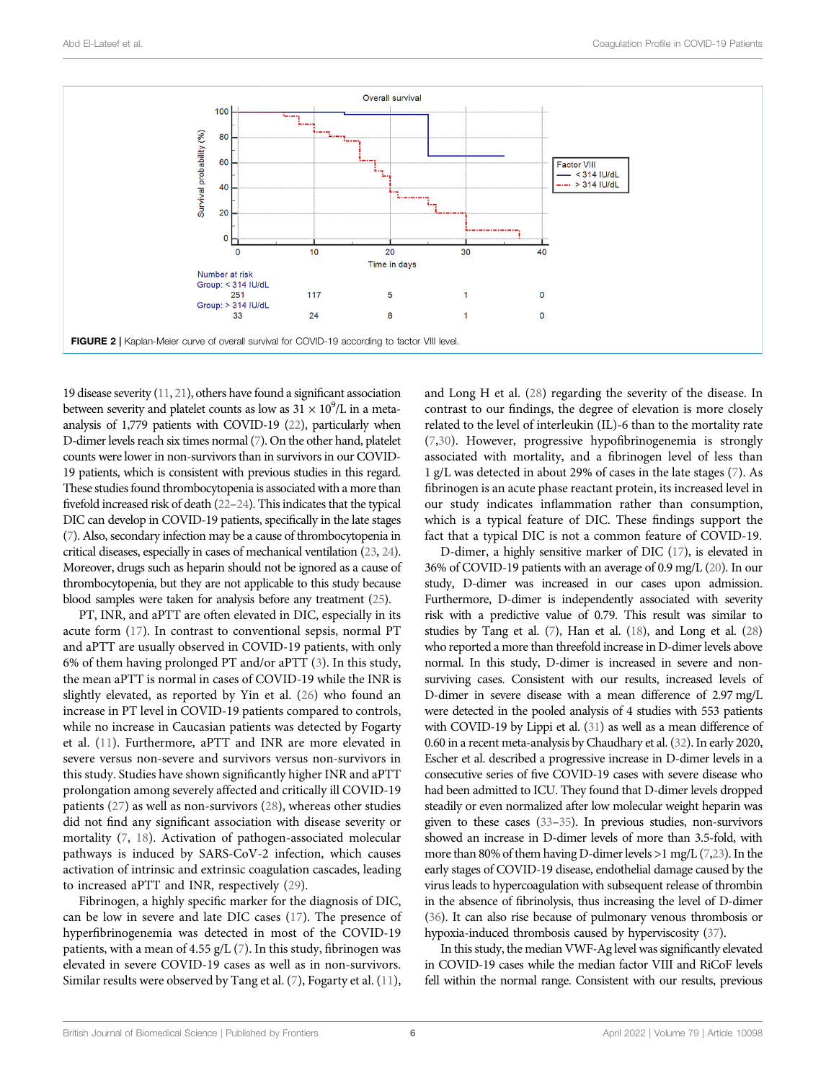

<span id="page-5-0"></span>19 disease severity ([11](#page-7-10), [21](#page-7-20)), others have found a significant association between severity and platelet counts as low as  $31 \times 10^9$ /L in a metaanalysis of 1,779 patients with COVID-19 [\(22\)](#page-7-21), particularly when D-dimer levels reach six times normal ([7\)](#page-7-6). On the other hand, platelet counts were lower in non-survivors than in survivors in our COVID-19 patients, which is consistent with previous studies in this regard. These studies found thrombocytopenia is associated with a more than fivefold increased risk of death [\(22](#page-7-21)–[24](#page-7-22)). This indicates that the typical DIC can develop in COVID-19 patients, specifically in the late stages [\(7\)](#page-7-6). Also, secondary infection may be a cause of thrombocytopenia in critical diseases, especially in cases of mechanical ventilation [\(23](#page-7-23), [24](#page-7-22)). Moreover, drugs such as heparin should not be ignored as a cause of thrombocytopenia, but they are not applicable to this study because blood samples were taken for analysis before any treatment ([25](#page-7-24)).

PT, INR, and aPTT are often elevated in DIC, especially in its acute form ([17\)](#page-7-16). In contrast to conventional sepsis, normal PT and aPTT are usually observed in COVID-19 patients, with only 6% of them having prolonged PT and/or aPTT ([3](#page-7-2)). In this study, the mean aPTT is normal in cases of COVID-19 while the INR is slightly elevated, as reported by Yin et al. [\(26](#page-7-25)) who found an increase in PT level in COVID-19 patients compared to controls, while no increase in Caucasian patients was detected by Fogarty et al. ([11\)](#page-7-10). Furthermore, aPTT and INR are more elevated in severe versus non-severe and survivors versus non-survivors in this study. Studies have shown significantly higher INR and aPTT prolongation among severely affected and critically ill COVID-19 patients ([27\)](#page-7-26) as well as non-survivors [\(28](#page-7-27)), whereas other studies did not find any significant association with disease severity or mortality [\(7,](#page-7-6) [18](#page-7-17)). Activation of pathogen-associated molecular pathways is induced by SARS-CoV-2 infection, which causes activation of intrinsic and extrinsic coagulation cascades, leading to increased aPTT and INR, respectively ([29\)](#page-7-28).

Fibrinogen, a highly specific marker for the diagnosis of DIC, can be low in severe and late DIC cases [\(17](#page-7-16)). The presence of hyperfibrinogenemia was detected in most of the COVID-19 patients, with a mean of 4.55  $g/L$  ([7](#page-7-6)). In this study, fibrinogen was elevated in severe COVID-19 cases as well as in non-survivors. Similar results were observed by Tang et al. [\(7\)](#page-7-6), Fogarty et al. ([11\)](#page-7-10), and Long H et al. ([28\)](#page-7-27) regarding the severity of the disease. In contrast to our findings, the degree of elevation is more closely related to the level of interleukin (IL)-6 than to the mortality rate [\(7,](#page-7-6)[30](#page-7-29)). However, progressive hypofibrinogenemia is strongly associated with mortality, and a fibrinogen level of less than 1 g/L was detected in about 29% of cases in the late stages ([7](#page-7-6)). As fibrinogen is an acute phase reactant protein, its increased level in our study indicates inflammation rather than consumption, which is a typical feature of DIC. These findings support the fact that a typical DIC is not a common feature of COVID-19.

D-dimer, a highly sensitive marker of DIC [\(17](#page-7-16)), is elevated in 36% of COVID-19 patients with an average of 0.9 mg/L [\(20\)](#page-7-19). In our study, D-dimer was increased in our cases upon admission. Furthermore, D-dimer is independently associated with severity risk with a predictive value of 0.79. This result was similar to studies by Tang et al. [\(7](#page-7-6)), Han et al. ([18](#page-7-17)), and Long et al. [\(28\)](#page-7-27) who reported a more than threefold increase in D-dimer levels above normal. In this study, D-dimer is increased in severe and nonsurviving cases. Consistent with our results, increased levels of D-dimer in severe disease with a mean difference of 2.97 mg/L were detected in the pooled analysis of 4 studies with 553 patients with COVID-19 by Lippi et al. [\(31\)](#page-7-30) as well as a mean difference of 0.60 in a recent meta-analysis by Chaudhary et al. [\(32\)](#page-7-31). In early 2020, Escher et al. described a progressive increase in D-dimer levels in a consecutive series of five COVID-19 cases with severe disease who had been admitted to ICU. They found that D-dimer levels dropped steadily or even normalized after low molecular weight heparin was given to these cases ([33](#page-7-32)–[35\)](#page-7-33). In previous studies, non-survivors showed an increase in D-dimer levels of more than 3.5-fold, with more than 80% of them having D-dimer levels >1 mg/L [\(7,](#page-7-6)[23](#page-7-23)). In the early stages of COVID-19 disease, endothelial damage caused by the virus leads to hypercoagulation with subsequent release of thrombin in the absence of fibrinolysis, thus increasing the level of D-dimer [\(36\)](#page-7-34). It can also rise because of pulmonary venous thrombosis or hypoxia-induced thrombosis caused by hyperviscosity [\(37\)](#page-7-35).

In this study, the median VWF-Ag level was significantly elevated in COVID-19 cases while the median factor VIII and RiCoF levels fell within the normal range. Consistent with our results, previous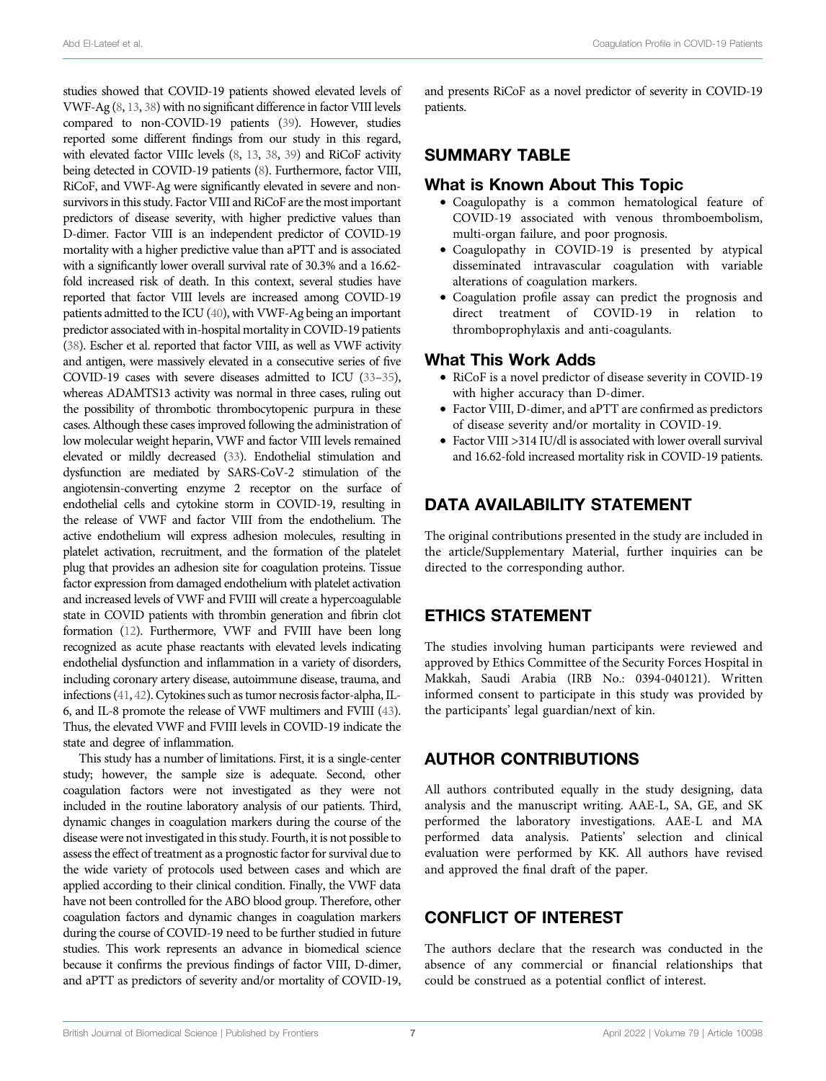studies showed that COVID-19 patients showed elevated levels of VWF-Ag ([8](#page-7-7), [13](#page-7-12), [38\)](#page-7-36) with no significant difference in factor VIII levels compared to non-COVID-19 patients ([39](#page-8-0)). However, studies reported some different findings from our study in this regard, with elevated factor VIIIc levels [\(8](#page-7-7), [13](#page-7-12), [38,](#page-7-36) [39\)](#page-8-0) and RiCoF activity being detected in COVID-19 patients [\(8\)](#page-7-7). Furthermore, factor VIII, RiCoF, and VWF-Ag were significantly elevated in severe and nonsurvivors in this study. Factor VIII and RiCoF are the most important predictors of disease severity, with higher predictive values than D-dimer. Factor VIII is an independent predictor of COVID-19 mortality with a higher predictive value than aPTT and is associated with a significantly lower overall survival rate of 30.3% and a 16.62 fold increased risk of death. In this context, several studies have reported that factor VIII levels are increased among COVID-19 patients admitted to the ICU [\(40](#page-8-1)), with VWF-Ag being an important predictor associated with in-hospital mortality in COVID-19 patients [\(38\)](#page-7-36). Escher et al. reported that factor VIII, as well as VWF activity and antigen, were massively elevated in a consecutive series of five COVID-19 cases with severe diseases admitted to ICU [\(33](#page-7-32)–[35](#page-7-33)), whereas ADAMTS13 activity was normal in three cases, ruling out the possibility of thrombotic thrombocytopenic purpura in these cases. Although these cases improved following the administration of low molecular weight heparin, VWF and factor VIII levels remained elevated or mildly decreased [\(33\)](#page-7-32). Endothelial stimulation and dysfunction are mediated by SARS-CoV-2 stimulation of the angiotensin-converting enzyme 2 receptor on the surface of endothelial cells and cytokine storm in COVID-19, resulting in the release of VWF and factor VIII from the endothelium. The active endothelium will express adhesion molecules, resulting in platelet activation, recruitment, and the formation of the platelet plug that provides an adhesion site for coagulation proteins. Tissue factor expression from damaged endothelium with platelet activation and increased levels of VWF and FVIII will create a hypercoagulable state in COVID patients with thrombin generation and fibrin clot formation [\(12](#page-7-11)). Furthermore, VWF and FVIII have been long recognized as acute phase reactants with elevated levels indicating endothelial dysfunction and inflammation in a variety of disorders, including coronary artery disease, autoimmune disease, trauma, and infections ([41](#page-8-2), [42\)](#page-8-3). Cytokines such as tumor necrosis factor-alpha, IL-6, and IL-8 promote the release of VWF multimers and FVIII [\(43](#page-8-4)). Thus, the elevated VWF and FVIII levels in COVID-19 indicate the state and degree of inflammation.

This study has a number of limitations. First, it is a single-center study; however, the sample size is adequate. Second, other coagulation factors were not investigated as they were not included in the routine laboratory analysis of our patients. Third, dynamic changes in coagulation markers during the course of the disease were not investigated in this study. Fourth, it is not possible to assess the effect of treatment as a prognostic factor for survival due to the wide variety of protocols used between cases and which are applied according to their clinical condition. Finally, the VWF data have not been controlled for the ABO blood group. Therefore, other coagulation factors and dynamic changes in coagulation markers during the course of COVID-19 need to be further studied in future studies. This work represents an advance in biomedical science because it confirms the previous findings of factor VIII, D-dimer, and aPTT as predictors of severity and/or mortality of COVID-19, and presents RiCoF as a novel predictor of severity in COVID-19 patients.

#### SUMMARY TABLE

#### What is Known About This Topic

- Coagulopathy is a common hematological feature of COVID-19 associated with venous thromboembolism, multi-organ failure, and poor prognosis.
- Coagulopathy in COVID-19 is presented by atypical disseminated intravascular coagulation with variable alterations of coagulation markers.
- Coagulation profile assay can predict the prognosis and direct treatment of COVID-19 in relation to thromboprophylaxis and anti-coagulants.

#### What This Work Adds

- RiCoF is a novel predictor of disease severity in COVID-19 with higher accuracy than D-dimer.
- Factor VIII, D-dimer, and aPTT are confirmed as predictors of disease severity and/or mortality in COVID-19.
- Factor VIII >314 IU/dl is associated with lower overall survival and 16.62-fold increased mortality risk in COVID-19 patients.

#### DATA AVAILABILITY STATEMENT

The original contributions presented in the study are included in the article/Supplementary Material, further inquiries can be directed to the corresponding author.

## ETHICS STATEMENT

The studies involving human participants were reviewed and approved by Ethics Committee of the Security Forces Hospital in Makkah, Saudi Arabia (IRB No.: 0394-040121). Written informed consent to participate in this study was provided by the participants' legal guardian/next of kin.

## AUTHOR CONTRIBUTIONS

All authors contributed equally in the study designing, data analysis and the manuscript writing. AAE-L, SA, GE, and SK performed the laboratory investigations. AAE-L and MA performed data analysis. Patients' selection and clinical evaluation were performed by KK. All authors have revised and approved the final draft of the paper.

# CONFLICT OF INTEREST

The authors declare that the research was conducted in the absence of any commercial or financial relationships that could be construed as a potential conflict of interest.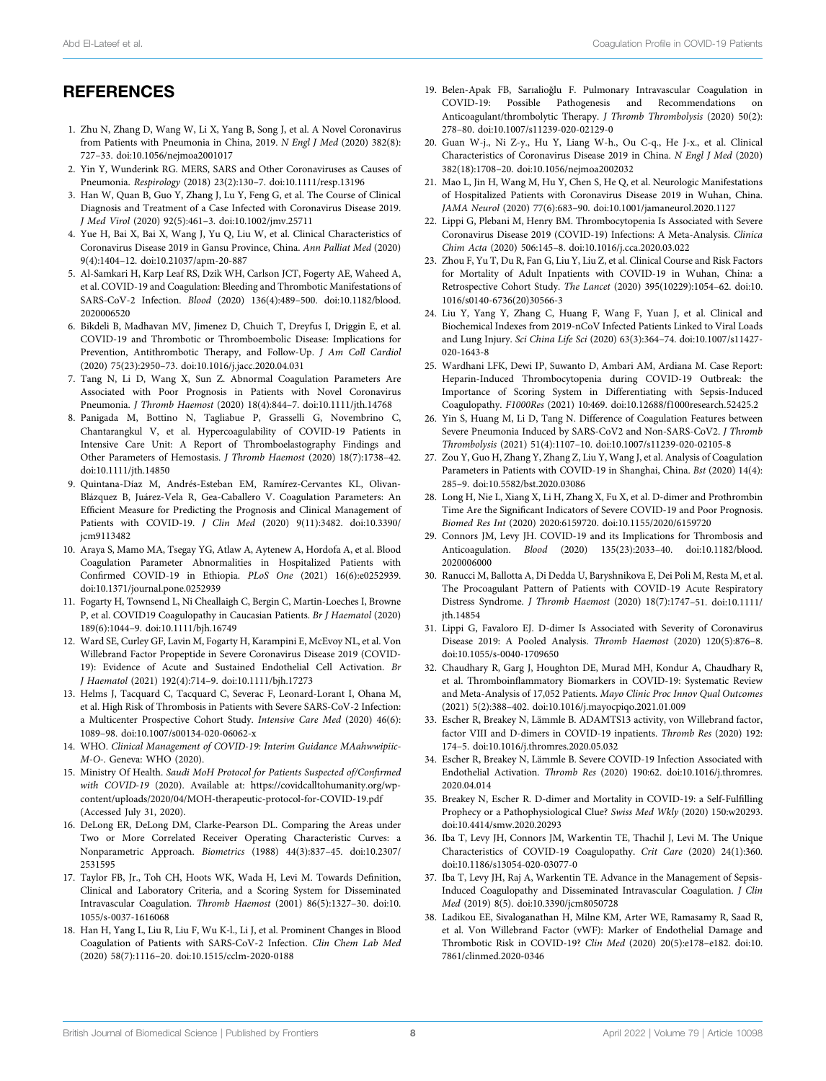British Journal of Biomedical Science | Published by Frontiers April 2022 | Volume 79 | Article 10098 8

# **REFERENCES**

- <span id="page-7-0"></span>1. Zhu N, Zhang D, Wang W, Li X, Yang B, Song J, et al. A Novel Coronavirus from Patients with Pneumonia in China, 2019. N Engl J Med (2020) 382(8): 727–33. doi[:10.1056/nejmoa2001017](https://doi.org/10.1056/nejmoa2001017)
- <span id="page-7-1"></span>2. Yin Y, Wunderink RG. MERS, SARS and Other Coronaviruses as Causes of Pneumonia. Respirology (2018) 23(2):130–7. doi[:10.1111/resp.13196](https://doi.org/10.1111/resp.13196)
- <span id="page-7-2"></span>3. Han W, Quan B, Guo Y, Zhang J, Lu Y, Feng G, et al. The Course of Clinical Diagnosis and Treatment of a Case Infected with Coronavirus Disease 2019. J Med Virol (2020) 92(5):461–3. doi[:10.1002/jmv.25711](https://doi.org/10.1002/jmv.25711)
- <span id="page-7-3"></span>4. Yue H, Bai X, Bai X, Wang J, Yu Q, Liu W, et al. Clinical Characteristics of Coronavirus Disease 2019 in Gansu Province, China. Ann Palliat Med (2020) 9(4):1404–12. doi:[10.21037/apm-20-887](https://doi.org/10.21037/apm-20-887)
- <span id="page-7-4"></span>5. Al-Samkari H, Karp Leaf RS, Dzik WH, Carlson JCT, Fogerty AE, Waheed A, et al. COVID-19 and Coagulation: Bleeding and Thrombotic Manifestations of SARS-CoV-2 Infection. Blood (2020) 136(4):489–500. doi:[10.1182/blood.](https://doi.org/10.1182/blood.2020006520) [2020006520](https://doi.org/10.1182/blood.2020006520)
- <span id="page-7-5"></span>6. Bikdeli B, Madhavan MV, Jimenez D, Chuich T, Dreyfus I, Driggin E, et al. COVID-19 and Thrombotic or Thromboembolic Disease: Implications for Prevention, Antithrombotic Therapy, and Follow-Up. J Am Coll Cardiol (2020) 75(23):2950–73. doi:[10.1016/j.jacc.2020.04.031](https://doi.org/10.1016/j.jacc.2020.04.031)
- <span id="page-7-6"></span>7. Tang N, Li D, Wang X, Sun Z. Abnormal Coagulation Parameters Are Associated with Poor Prognosis in Patients with Novel Coronavirus Pneumonia. J Thromb Haemost (2020) 18(4):844–7. doi[:10.1111/jth.14768](https://doi.org/10.1111/jth.14768)
- <span id="page-7-7"></span>8. Panigada M, Bottino N, Tagliabue P, Grasselli G, Novembrino C, Chantarangkul V, et al. Hypercoagulability of COVID-19 Patients in Intensive Care Unit: A Report of Thromboelastography Findings and Other Parameters of Hemostasis. J Thromb Haemost (2020) 18(7):1738–42. doi[:10.1111/jth.14850](https://doi.org/10.1111/jth.14850)
- <span id="page-7-8"></span>9. Quintana-Díaz M, Andrés-Esteban EM, Ramírez-Cervantes KL, Olivan-Blázquez B, Juárez-Vela R, Gea-Caballero V. Coagulation Parameters: An Efficient Measure for Predicting the Prognosis and Clinical Management of Patients with COVID-19. J Clin Med (2020) 9(11):3482. doi:[10.3390/](https://doi.org/10.3390/jcm9113482) [jcm9113482](https://doi.org/10.3390/jcm9113482)
- <span id="page-7-9"></span>10. Araya S, Mamo MA, Tsegay YG, Atlaw A, Aytenew A, Hordofa A, et al. Blood Coagulation Parameter Abnormalities in Hospitalized Patients with Confirmed COVID-19 in Ethiopia. PLoS One (2021) 16(6):e0252939. doi[:10.1371/journal.pone.0252939](https://doi.org/10.1371/journal.pone.0252939)
- <span id="page-7-10"></span>11. Fogarty H, Townsend L, Ni Cheallaigh C, Bergin C, Martin-Loeches I, Browne P, et al. COVID19 Coagulopathy in Caucasian Patients. Br J Haematol (2020) 189(6):1044–9. doi[:10.1111/bjh.16749](https://doi.org/10.1111/bjh.16749)
- <span id="page-7-11"></span>12. Ward SE, Curley GF, Lavin M, Fogarty H, Karampini E, McEvoy NL, et al. Von Willebrand Factor Propeptide in Severe Coronavirus Disease 2019 (COVID-19): Evidence of Acute and Sustained Endothelial Cell Activation. Br J Haematol (2021) 192(4):714–9. doi[:10.1111/bjh.17273](https://doi.org/10.1111/bjh.17273)
- <span id="page-7-12"></span>13. Helms J, Tacquard C, Tacquard C, Severac F, Leonard-Lorant I, Ohana M, et al. High Risk of Thrombosis in Patients with Severe SARS-CoV-2 Infection: a Multicenter Prospective Cohort Study. Intensive Care Med (2020) 46(6): 1089–98. doi:[10.1007/s00134-020-06062-x](https://doi.org/10.1007/s00134-020-06062-x)
- <span id="page-7-13"></span>14. WHO. Clinical Management of COVID-19: Interim Guidance MAahwwipiic-M-O-. Geneva: WHO (2020).
- <span id="page-7-14"></span>15. Ministry Of Health. Saudi MoH Protocol for Patients Suspected of/Confirmed with COVID-19 (2020). Available at: [https://covidcalltohumanity.org/wp](https://covidcalltohumanity.org/wp-content/uploads/2020/04/MOH-therapeutic-protocol-for-COVID-19.pdf)[content/uploads/2020/04/MOH-therapeutic-protocol-for-COVID-19.pdf](https://covidcalltohumanity.org/wp-content/uploads/2020/04/MOH-therapeutic-protocol-for-COVID-19.pdf) (Accessed July 31, 2020).
- <span id="page-7-15"></span>16. DeLong ER, DeLong DM, Clarke-Pearson DL. Comparing the Areas under Two or More Correlated Receiver Operating Characteristic Curves: a Nonparametric Approach. Biometrics (1988) 44(3):837–45. doi:[10.2307/](https://doi.org/10.2307/2531595) [2531595](https://doi.org/10.2307/2531595)
- <span id="page-7-16"></span>17. Taylor FB, Jr., Toh CH, Hoots WK, Wada H, Levi M. Towards Definition, Clinical and Laboratory Criteria, and a Scoring System for Disseminated Intravascular Coagulation. Thromb Haemost (2001) 86(5):1327–30. doi[:10.](https://doi.org/10.1055/s-0037-1616068) [1055/s-0037-1616068](https://doi.org/10.1055/s-0037-1616068)
- <span id="page-7-17"></span>18. Han H, Yang L, Liu R, Liu F, Wu K-l., Li J, et al. Prominent Changes in Blood Coagulation of Patients with SARS-CoV-2 Infection. Clin Chem Lab Med (2020) 58(7):1116–20. doi[:10.1515/cclm-2020-0188](https://doi.org/10.1515/cclm-2020-0188)
- <span id="page-7-18"></span>19. Belen-Apak FB, Sarıalioğlu F. Pulmonary Intravascular Coagulation in COVID-19: Possible Pathogenesis and Recommendations on Anticoagulant/thrombolytic Therapy. J Thromb Thrombolysis (2020) 50(2): 278–80. doi:[10.1007/s11239-020-02129-0](https://doi.org/10.1007/s11239-020-02129-0)
- <span id="page-7-19"></span>20. Guan W-j., Ni Z-y., Hu Y, Liang W-h., Ou C-q., He J-x., et al. Clinical Characteristics of Coronavirus Disease 2019 in China. N Engl J Med (2020) 382(18):1708–20. doi[:10.1056/nejmoa2002032](https://doi.org/10.1056/nejmoa2002032)
- <span id="page-7-20"></span>21. Mao L, Jin H, Wang M, Hu Y, Chen S, He Q, et al. Neurologic Manifestations of Hospitalized Patients with Coronavirus Disease 2019 in Wuhan, China. JAMA Neurol (2020) 77(6):683–90. doi[:10.1001/jamaneurol.2020.1127](https://doi.org/10.1001/jamaneurol.2020.1127)
- <span id="page-7-21"></span>22. Lippi G, Plebani M, Henry BM. Thrombocytopenia Is Associated with Severe Coronavirus Disease 2019 (COVID-19) Infections: A Meta-Analysis. Clinica Chim Acta (2020) 506:145–8. doi:[10.1016/j.cca.2020.03.022](https://doi.org/10.1016/j.cca.2020.03.022)
- <span id="page-7-23"></span>23. Zhou F, Yu T, Du R, Fan G, Liu Y, Liu Z, et al. Clinical Course and Risk Factors for Mortality of Adult Inpatients with COVID-19 in Wuhan, China: a Retrospective Cohort Study. The Lancet (2020) 395(10229):1054–62. doi[:10.](https://doi.org/10.1016/s0140-6736(20)30566-3) [1016/s0140-6736\(20\)30566-3](https://doi.org/10.1016/s0140-6736(20)30566-3)
- <span id="page-7-22"></span>24. Liu Y, Yang Y, Zhang C, Huang F, Wang F, Yuan J, et al. Clinical and Biochemical Indexes from 2019-nCoV Infected Patients Linked to Viral Loads and Lung Injury. Sci China Life Sci (2020) 63(3):364–74. doi[:10.1007/s11427-](https://doi.org/10.1007/s11427-020-1643-8) [020-1643-8](https://doi.org/10.1007/s11427-020-1643-8)
- <span id="page-7-24"></span>25. Wardhani LFK, Dewi IP, Suwanto D, Ambari AM, Ardiana M. Case Report: Heparin-Induced Thrombocytopenia during COVID-19 Outbreak: the Importance of Scoring System in Differentiating with Sepsis-Induced Coagulopathy. F1000Res (2021) 10:469. doi:[10.12688/f1000research.52425.2](https://doi.org/10.12688/f1000research.52425.2)
- <span id="page-7-25"></span>26. Yin S, Huang M, Li D, Tang N. Difference of Coagulation Features between Severe Pneumonia Induced by SARS-CoV2 and Non-SARS-CoV2. J Thromb Thrombolysis (2021) 51(4):1107–10. doi:[10.1007/s11239-020-02105-8](https://doi.org/10.1007/s11239-020-02105-8)
- <span id="page-7-26"></span>27. Zou Y, Guo H, Zhang Y, Zhang Z, Liu Y, Wang J, et al. Analysis of Coagulation Parameters in Patients with COVID-19 in Shanghai, China. Bst (2020) 14(4): 285–9. doi[:10.5582/bst.2020.03086](https://doi.org/10.5582/bst.2020.03086)
- <span id="page-7-27"></span>28. Long H, Nie L, Xiang X, Li H, Zhang X, Fu X, et al. D-dimer and Prothrombin Time Are the Significant Indicators of Severe COVID-19 and Poor Prognosis. Biomed Res Int (2020) 2020:6159720. doi[:10.1155/2020/6159720](https://doi.org/10.1155/2020/6159720)
- <span id="page-7-28"></span>29. Connors JM, Levy JH. COVID-19 and its Implications for Thrombosis and Anticoagulation. Blood (2020) 135(23):2033–40. doi:[10.1182/blood.](https://doi.org/10.1182/blood.2020006000) [2020006000](https://doi.org/10.1182/blood.2020006000)
- <span id="page-7-29"></span>30. Ranucci M, Ballotta A, Di Dedda U, Baryshnikova E, Dei Poli M, Resta M, et al. The Procoagulant Pattern of Patients with COVID-19 Acute Respiratory Distress Syndrome. J Thromb Haemost (2020) 18(7):1747–51. doi[:10.1111/](https://doi.org/10.1111/jth.14854) [jth.14854](https://doi.org/10.1111/jth.14854)
- <span id="page-7-30"></span>31. Lippi G, Favaloro EJ. D-dimer Is Associated with Severity of Coronavirus Disease 2019: A Pooled Analysis. Thromb Haemost (2020) 120(5):876–8. doi:[10.1055/s-0040-1709650](https://doi.org/10.1055/s-0040-1709650)
- <span id="page-7-31"></span>32. Chaudhary R, Garg J, Houghton DE, Murad MH, Kondur A, Chaudhary R, et al. Thromboinflammatory Biomarkers in COVID-19: Systematic Review and Meta-Analysis of 17,052 Patients. Mayo Clinic Proc Innov Qual Outcomes (2021) 5(2):388–402. doi[:10.1016/j.mayocpiqo.2021.01.009](https://doi.org/10.1016/j.mayocpiqo.2021.01.009)
- <span id="page-7-32"></span>33. Escher R, Breakey N, Lämmle B. ADAMTS13 activity, von Willebrand factor, factor VIII and D-dimers in COVID-19 inpatients. Thromb Res (2020) 192: 174–5. doi[:10.1016/j.thromres.2020.05.032](https://doi.org/10.1016/j.thromres.2020.05.032)
- 34. Escher R, Breakey N, Lämmle B. Severe COVID-19 Infection Associated with Endothelial Activation. Thromb Res (2020) 190:62. doi:[10.1016/j.thromres.](https://doi.org/10.1016/j.thromres.2020.04.014) [2020.04.014](https://doi.org/10.1016/j.thromres.2020.04.014)
- <span id="page-7-33"></span>35. Breakey N, Escher R. D-dimer and Mortality in COVID-19: a Self-Fulfilling Prophecy or a Pathophysiological Clue? Swiss Med Wkly (2020) 150:w20293. doi:[10.4414/smw.2020.20293](https://doi.org/10.4414/smw.2020.20293)
- <span id="page-7-34"></span>36. Iba T, Levy JH, Connors JM, Warkentin TE, Thachil J, Levi M. The Unique Characteristics of COVID-19 Coagulopathy. Crit Care (2020) 24(1):360. doi:[10.1186/s13054-020-03077-0](https://doi.org/10.1186/s13054-020-03077-0)
- <span id="page-7-35"></span>37. Iba T, Levy JH, Raj A, Warkentin TE. Advance in the Management of Sepsis-Induced Coagulopathy and Disseminated Intravascular Coagulation. J Clin Med (2019) 8(5). doi[:10.3390/jcm8050728](https://doi.org/10.3390/jcm8050728)
- <span id="page-7-36"></span>38. Ladikou EE, Sivaloganathan H, Milne KM, Arter WE, Ramasamy R, Saad R, et al. Von Willebrand Factor (vWF): Marker of Endothelial Damage and Thrombotic Risk in COVID-19? Clin Med (2020) 20(5):e178–e182. doi[:10.](https://doi.org/10.7861/clinmed.2020-0346) [7861/clinmed.2020-0346](https://doi.org/10.7861/clinmed.2020-0346)